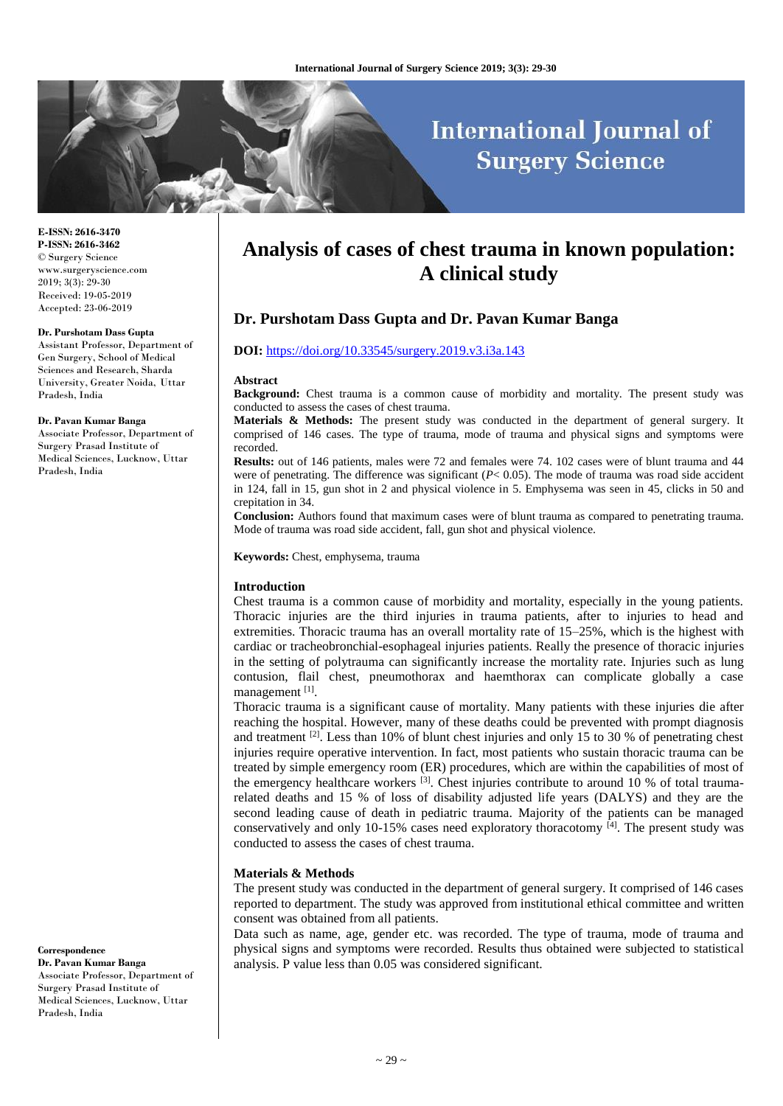# **International Journal of Surgery Science**

**E-ISSN: 2616-3470 P-ISSN: 2616-3462** © Surgery Science www.surgeryscience.com 2019; 3(3): 29-30 Received: 19-05-2019 Accepted: 23-06-2019

#### **Dr. Purshotam Dass Gupta**

Assistant Professor, Department of Gen Surgery, School of Medical Sciences and Research, Sharda University, Greater Noida, Uttar Pradesh, India

#### **Dr. Pavan Kumar Banga**

Associate Professor, Department of Surgery Prasad Institute of Medical Sciences, Lucknow, Uttar Pradesh, India

**Correspondence Dr. Pavan Kumar Banga** Associate Professor, Department of Surgery Prasad Institute of Medical Sciences, Lucknow, Uttar Pradesh, India

## **Analysis of cases of chest trauma in known population: A clinical study**

### **Dr. Purshotam Dass Gupta and Dr. Pavan Kumar Banga**

#### **DOI:** <https://doi.org/10.33545/surgery.2019.v3.i3a.143>

#### **Abstract**

**Background:** Chest trauma is a common cause of morbidity and mortality. The present study was conducted to assess the cases of chest trauma.

**Materials & Methods:** The present study was conducted in the department of general surgery. It comprised of 146 cases. The type of trauma, mode of trauma and physical signs and symptoms were recorded.

**Results:** out of 146 patients, males were 72 and females were 74. 102 cases were of blunt trauma and 44 were of penetrating. The difference was significant (*P*< 0.05). The mode of trauma was road side accident in 124, fall in 15, gun shot in 2 and physical violence in 5. Emphysema was seen in 45, clicks in 50 and crepitation in 34.

**Conclusion:** Authors found that maximum cases were of blunt trauma as compared to penetrating trauma. Mode of trauma was road side accident, fall, gun shot and physical violence.

**Keywords:** Chest, emphysema, trauma

#### **Introduction**

Chest trauma is a common cause of morbidity and mortality, especially in the young patients. Thoracic injuries are the third injuries in trauma patients, after to injuries to head and extremities. Thoracic trauma has an overall mortality rate of 15–25%, which is the highest with cardiac or tracheobronchial-esophageal injuries patients. Really the presence of thoracic injuries in the setting of polytrauma can significantly increase the mortality rate. Injuries such as lung contusion, flail chest, pneumothorax and haemthorax can complicate globally a case management [1].

Thoracic trauma is a significant cause of mortality. Many patients with these injuries die after reaching the hospital. However, many of these deaths could be prevented with prompt diagnosis and treatment  $^{[2]}$ . Less than 10% of blunt chest injuries and only 15 to 30 % of penetrating chest injuries require operative intervention. In fact, most patients who sustain thoracic trauma can be treated by simple emergency room (ER) procedures, which are within the capabilities of most of the emergency healthcare workers  $^{[3]}$ . Chest injuries contribute to around 10 % of total traumarelated deaths and 15 % of loss of disability adjusted life years (DALYS) and they are the second leading cause of death in pediatric trauma. Majority of the patients can be managed conservatively and only  $10-15%$  cases need exploratory thoracotomy  $[4]$ . The present study was conducted to assess the cases of chest trauma.

#### **Materials & Methods**

The present study was conducted in the department of general surgery. It comprised of 146 cases reported to department. The study was approved from institutional ethical committee and written consent was obtained from all patients.

Data such as name, age, gender etc. was recorded. The type of trauma, mode of trauma and physical signs and symptoms were recorded. Results thus obtained were subjected to statistical analysis. P value less than 0.05 was considered significant.